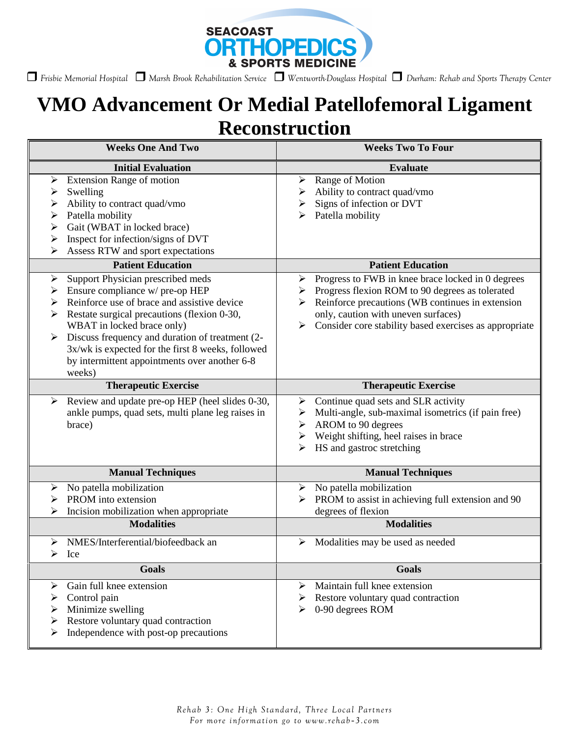

 *Frisbie Memorial Hospital Marsh Brook Rehabilitation Service Wentworth-Douglass Hospital Durham: Rehab and Sports Therapy Center* 

## **VMO Advancement Or Medial Patellofemoral Ligament Reconstruction**

| <b>Weeks One And Two</b>                                                                                                                                                                                                                                                                                                                                                                                                                                                                                                                                                                                                                                                            | <b>Weeks Two To Four</b>                                                                                                                                                                                                                                                                                                                                                                                                                         |
|-------------------------------------------------------------------------------------------------------------------------------------------------------------------------------------------------------------------------------------------------------------------------------------------------------------------------------------------------------------------------------------------------------------------------------------------------------------------------------------------------------------------------------------------------------------------------------------------------------------------------------------------------------------------------------------|--------------------------------------------------------------------------------------------------------------------------------------------------------------------------------------------------------------------------------------------------------------------------------------------------------------------------------------------------------------------------------------------------------------------------------------------------|
| <b>Initial Evaluation</b>                                                                                                                                                                                                                                                                                                                                                                                                                                                                                                                                                                                                                                                           | <b>Evaluate</b>                                                                                                                                                                                                                                                                                                                                                                                                                                  |
| <b>Extension Range of motion</b><br>➤<br>Swelling<br>➤<br>Ability to contract quad/vmo<br>➤<br>Patella mobility<br>➤<br>Gait (WBAT in locked brace)<br>➤<br>Inspect for infection/signs of DVT<br>➤<br>Assess RTW and sport expectations<br>⋗<br><b>Patient Education</b><br>Support Physician prescribed meds<br>➤<br>Ensure compliance w/ pre-op HEP<br>➤<br>Reinforce use of brace and assistive device<br>➤<br>Restate surgical precautions (flexion 0-30,<br>≻<br>WBAT in locked brace only)<br>Discuss frequency and duration of treatment (2-<br>$\blacktriangleright$<br>3x/wk is expected for the first 8 weeks, followed<br>by intermittent appointments over another 6-8 | Range of Motion<br>➤<br>Ability to contract quad/vmo<br>Signs of infection or DVT<br>➤<br>Patella mobility<br>⋗<br><b>Patient Education</b><br>Progress to FWB in knee brace locked in 0 degrees<br>➤<br>Progress flexion ROM to 90 degrees as tolerated<br>➤<br>Reinforce precautions (WB continues in extension<br>≻<br>only, caution with uneven surfaces)<br>Consider core stability based exercises as appropriate<br>$\blacktriangleright$ |
| weeks)                                                                                                                                                                                                                                                                                                                                                                                                                                                                                                                                                                                                                                                                              |                                                                                                                                                                                                                                                                                                                                                                                                                                                  |
| <b>Therapeutic Exercise</b><br>≻                                                                                                                                                                                                                                                                                                                                                                                                                                                                                                                                                                                                                                                    | <b>Therapeutic Exercise</b><br>Continue quad sets and SLR activity<br>➤                                                                                                                                                                                                                                                                                                                                                                          |
| Review and update pre-op HEP (heel slides 0-30,<br>ankle pumps, quad sets, multi plane leg raises in<br>brace)                                                                                                                                                                                                                                                                                                                                                                                                                                                                                                                                                                      | Multi-angle, sub-maximal isometrics (if pain free)<br>➤<br>AROM to 90 degrees<br>➤<br>Weight shifting, heel raises in brace<br>➤<br>HS and gastroc stretching<br>➤                                                                                                                                                                                                                                                                               |
| <b>Manual Techniques</b>                                                                                                                                                                                                                                                                                                                                                                                                                                                                                                                                                                                                                                                            | <b>Manual Techniques</b>                                                                                                                                                                                                                                                                                                                                                                                                                         |
| No patella mobilization<br>≻<br>PROM into extension<br>Incision mobilization when appropriate<br>➤<br><b>Modalities</b>                                                                                                                                                                                                                                                                                                                                                                                                                                                                                                                                                             | No patella mobilization<br>➤<br>PROM to assist in achieving full extension and 90<br>degrees of flexion<br><b>Modalities</b>                                                                                                                                                                                                                                                                                                                     |
| NMES/Interferential/biofeedback an<br>$\blacktriangleright$                                                                                                                                                                                                                                                                                                                                                                                                                                                                                                                                                                                                                         | Modalities may be used as needed<br>≻                                                                                                                                                                                                                                                                                                                                                                                                            |
| Ice                                                                                                                                                                                                                                                                                                                                                                                                                                                                                                                                                                                                                                                                                 |                                                                                                                                                                                                                                                                                                                                                                                                                                                  |
| Goals                                                                                                                                                                                                                                                                                                                                                                                                                                                                                                                                                                                                                                                                               | <b>Goals</b>                                                                                                                                                                                                                                                                                                                                                                                                                                     |
| Gain full knee extension<br>⋗<br>Control pain<br>➤<br>Minimize swelling<br>Restore voluntary quad contraction<br>➤<br>Independence with post-op precautions                                                                                                                                                                                                                                                                                                                                                                                                                                                                                                                         | Maintain full knee extension<br>➤<br>Restore voluntary quad contraction<br>➤<br>0-90 degrees ROM<br>➤                                                                                                                                                                                                                                                                                                                                            |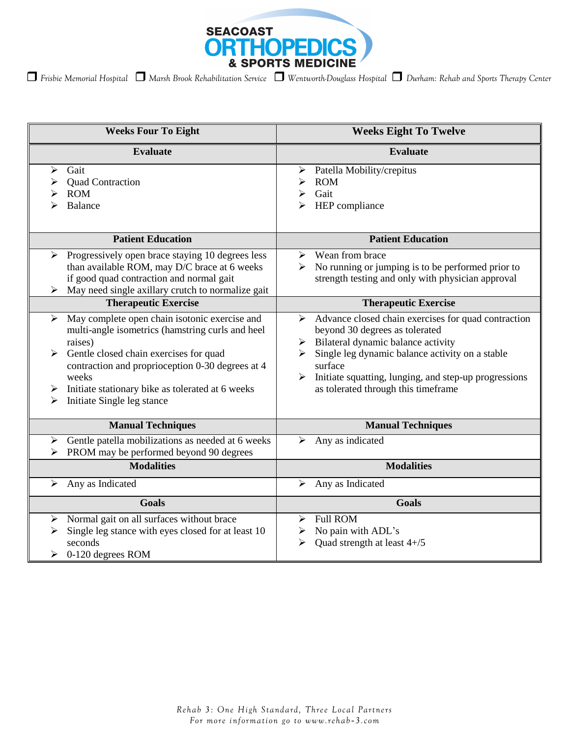

| <b>Weeks Four To Eight</b>                                                                                                                                                                                                                                                                                                                    | <b>Weeks Eight To Twelve</b>                                                                                                                                                                                                                                                                                                      |
|-----------------------------------------------------------------------------------------------------------------------------------------------------------------------------------------------------------------------------------------------------------------------------------------------------------------------------------------------|-----------------------------------------------------------------------------------------------------------------------------------------------------------------------------------------------------------------------------------------------------------------------------------------------------------------------------------|
| <b>Evaluate</b>                                                                                                                                                                                                                                                                                                                               | <b>Evaluate</b>                                                                                                                                                                                                                                                                                                                   |
| Gait<br>➤<br><b>Quad Contraction</b><br><b>ROM</b><br>Balance                                                                                                                                                                                                                                                                                 | Patella Mobility/crepitus<br>➤<br><b>ROM</b><br>⋗<br>Gait<br>⋗<br>HEP compliance                                                                                                                                                                                                                                                  |
| <b>Patient Education</b>                                                                                                                                                                                                                                                                                                                      | <b>Patient Education</b>                                                                                                                                                                                                                                                                                                          |
| Progressively open brace staying 10 degrees less<br>➤<br>than available ROM, may D/C brace at 6 weeks<br>if good quad contraction and normal gait<br>May need single axillary crutch to normalize gait                                                                                                                                        | Wean from brace<br>➤<br>No running or jumping is to be performed prior to<br>➤<br>strength testing and only with physician approval                                                                                                                                                                                               |
| <b>Therapeutic Exercise</b>                                                                                                                                                                                                                                                                                                                   | <b>Therapeutic Exercise</b>                                                                                                                                                                                                                                                                                                       |
| May complete open chain isotonic exercise and<br>➤<br>multi-angle isometrics (hamstring curls and heel<br>raises)<br>$\blacktriangleright$<br>Gentle closed chain exercises for quad<br>contraction and proprioception 0-30 degrees at 4<br>weeks<br>Initiate stationary bike as tolerated at 6 weeks<br>➤<br>Initiate Single leg stance<br>⋗ | Advance closed chain exercises for quad contraction<br>$\blacktriangleright$<br>beyond 30 degrees as tolerated<br>Bilateral dynamic balance activity<br>➤<br>Single leg dynamic balance activity on a stable<br>➤<br>surface<br>Initiate squatting, lunging, and step-up progressions<br>➤<br>as tolerated through this timeframe |
| <b>Manual Techniques</b>                                                                                                                                                                                                                                                                                                                      | <b>Manual Techniques</b>                                                                                                                                                                                                                                                                                                          |
| Gentle patella mobilizations as needed at 6 weeks<br>➤<br>PROM may be performed beyond 90 degrees<br><b>Modalities</b>                                                                                                                                                                                                                        | Any as indicated<br>➤<br><b>Modalities</b>                                                                                                                                                                                                                                                                                        |
| Any as Indicated<br>➤                                                                                                                                                                                                                                                                                                                         | Any as Indicated<br>➤                                                                                                                                                                                                                                                                                                             |
|                                                                                                                                                                                                                                                                                                                                               |                                                                                                                                                                                                                                                                                                                                   |
| <b>Goals</b><br>Normal gait on all surfaces without brace<br>➤<br>Single leg stance with eyes closed for at least 10<br>⋗<br>seconds<br>0-120 degrees ROM<br>≻                                                                                                                                                                                | <b>Goals</b><br><b>Full ROM</b><br>⋗<br>No pain with ADL's<br>➤<br>Quad strength at least 4+/5<br>⋗                                                                                                                                                                                                                               |